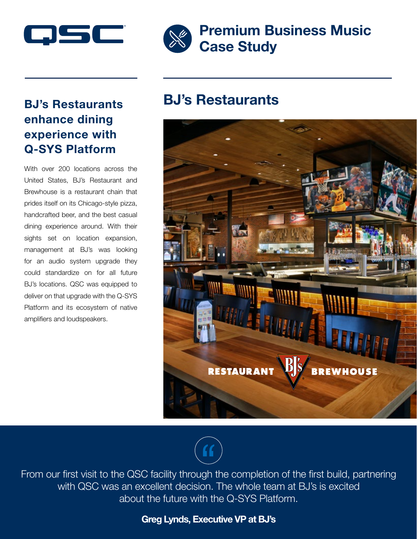

# BJ's Restaurants enhance dining experience with Q-SYS Platform

With over 200 locations across the United States, BJ's Restaurant and Brewhouse is a restaurant chain that prides itself on its Chicago-style pizza, handcrafted beer, and the best casual dining experience around. With their sights set on location expansion, management at BJ's was looking for an audio system upgrade they could standardize on for all future BJ's locations. QSC was equipped to deliver on that upgrade with the Q-SYS Platform and its ecosystem of native amplifiers and loudspeakers.



# Premium Business Music Case Study

# BJ's Restaurants





From our first visit to the QSC facility through the completion of the first build, partnering with QSC was an excellent decision. The whole team at BJ's is excited about the future with the Q-SYS Platform.

#### Greg Lynds, Executive VP at BJ's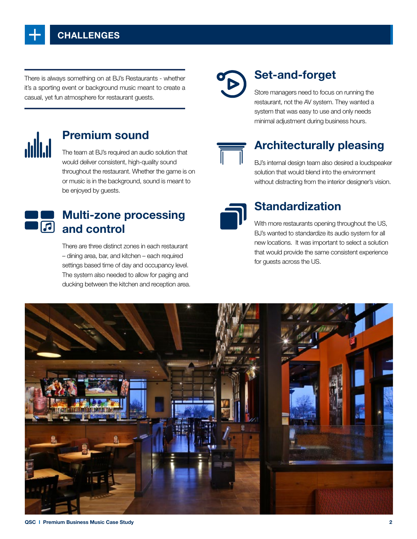

There is always something on at BJ's Restaurants - whether it's a sporting event or background music meant to create a casual, yet fun atmosphere for restaurant guests.



#### Premium sound

The team at BJ's required an audio solution that would deliver consistent, high-quality sound throughout the restaurant. Whether the game is on or music is in the background, sound is meant to be enjoyed by guests.



# Multi-zone processing  $\overline{a}$  and control

There are three distinct zones in each restaurant – dining area, bar, and kitchen – each required settings based time of day and occupancy level. The system also needed to allow for paging and ducking between the kitchen and reception area.

# Set-and-forget

Store managers need to focus on running the restaurant, not the AV system. They wanted a system that was easy to use and only needs minimal adjustment during business hours.



## Architecturally pleasing

BJ's internal design team also desired a loudspeaker solution that would blend into the environment without distracting from the interior designer's vision.



#### Standardization

With more restaurants opening throughout the US, BJ's wanted to standardize its audio system for all new locations. It was important to select a solution that would provide the same consistent experience for guests across the US.

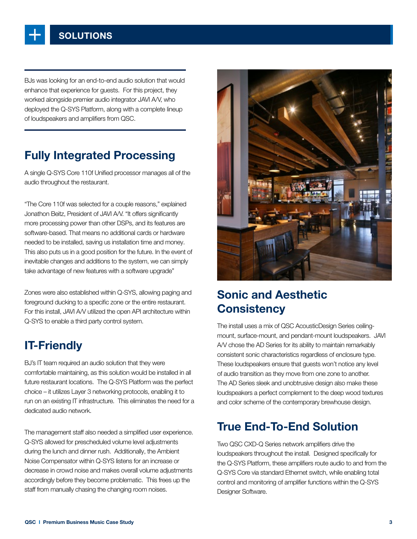

BJs was looking for an end-to-end audio solution that would enhance that experience for guests. For this project, they worked alongside premier audio integrator JAVI A/V, who deployed the Q-SYS Platform, along with a complete lineup of loudspeakers and amplifiers from QSC.

## Fully Integrated Processing

A single Q-SYS Core 110f Unified processor manages all of the audio throughout the restaurant.

"The Core 110f was selected for a couple reasons," explained Jonathon Beitz, President of JAVI A/V. "It offers significantly more processing power than other DSPs, and its features are software-based. That means no additional cards or hardware needed to be installed, saving us installation time and money. This also puts us in a good position for the future. In the event of inevitable changes and additions to the system, we can simply take advantage of new features with a software upgrade"

Zones were also established within Q-SYS, allowing paging and foreground ducking to a specific zone or the entire restaurant. For this install, JAVI A/V utilized the open API architecture within Q-SYS to enable a third party control system.

## IT-Friendly

BJ's IT team required an audio solution that they were comfortable maintaining, as this solution would be installed in all future restaurant locations. The Q-SYS Platform was the perfect choice – it utilizes Layer 3 networking protocols, enabling it to run on an existing IT infrastructure. This eliminates the need for a dedicated audio network.

The management staff also needed a simplified user experience. Q-SYS allowed for prescheduled volume level adjustments during the lunch and dinner rush. Additionally, the Ambient Noise Compensator within Q-SYS listens for an increase or decrease in crowd noise and makes overall volume adjustments accordingly before they become problematic. This frees up the staff from manually chasing the changing room noises.



## Sonic and Aesthetic **Consistency**

The install uses a mix of QSC AcousticDesign Series ceilingmount, surface-mount, and pendant-mount loudspeakers. JAVI A/V chose the AD Series for its ability to maintain remarkably consistent sonic characteristics regardless of enclosure type. These loudspeakers ensure that guests won't notice any level of audio transition as they move from one zone to another. The AD Series sleek and unobtrusive design also make these loudspeakers a perfect complement to the deep wood textures and color scheme of the contemporary brewhouse design.

## True End-To-End Solution

Two QSC CXD-Q Series network amplifiers drive the loudspeakers throughout the install. Designed specifically for the Q-SYS Platform, these amplifiers route audio to and from the Q-SYS Core via standard Ethernet switch, while enabling total control and monitoring of amplifier functions within the Q-SYS Designer Software.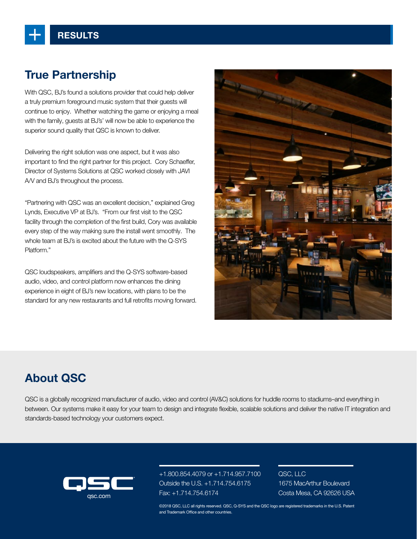# True Partnership

With QSC, BJ's found a solutions provider that could help deliver a truly premium foreground music system that their guests will continue to enjoy. Whether watching the game or enjoying a meal with the family, guests at BJ's' will now be able to experience the superior sound quality that QSC is known to deliver.

Delivering the right solution was one aspect, but it was also important to find the right partner for this project. Cory Schaeffer, Director of Systems Solutions at QSC worked closely with JAVI A/V and BJ's throughout the process.

"Partnering with QSC was an excellent decision," explained Greg Lynds, Executive VP at BJ's. "From our first visit to the QSC facility through the completion of the first build, Cory was available every step of the way making sure the install went smoothly. The whole team at BJ's is excited about the future with the Q-SYS Platform."

QSC loudspeakers, amplifiers and the Q-SYS software-based audio, video, and control platform now enhances the dining experience in eight of BJ's new locations, with plans to be the standard for any new restaurants and full retrofits moving forward.



## About QSC

QSC is a globally recognized manufacturer of audio, video and control (AV&C) solutions for huddle rooms to stadiums–and everything in between. Our systems make it easy for your team to design and integrate flexible, scalable solutions and deliver the native IT integration and standards-based technology your customers expect.



+1.800.854.4079 or +1.714.957.7100 Outside the U.S. +1.714.754.6175 Fax: +1.714.754.6174 Costa Mesa, CA 92626 USA qsc.com

QSC, LLC 1675 MacArthur Boulevard

©2018 QSC, LLC all rights reserved. QSC, Q-SYS and the QSC logo are registered trademarks in the U.S. Patent and Trademark Office and other countries.